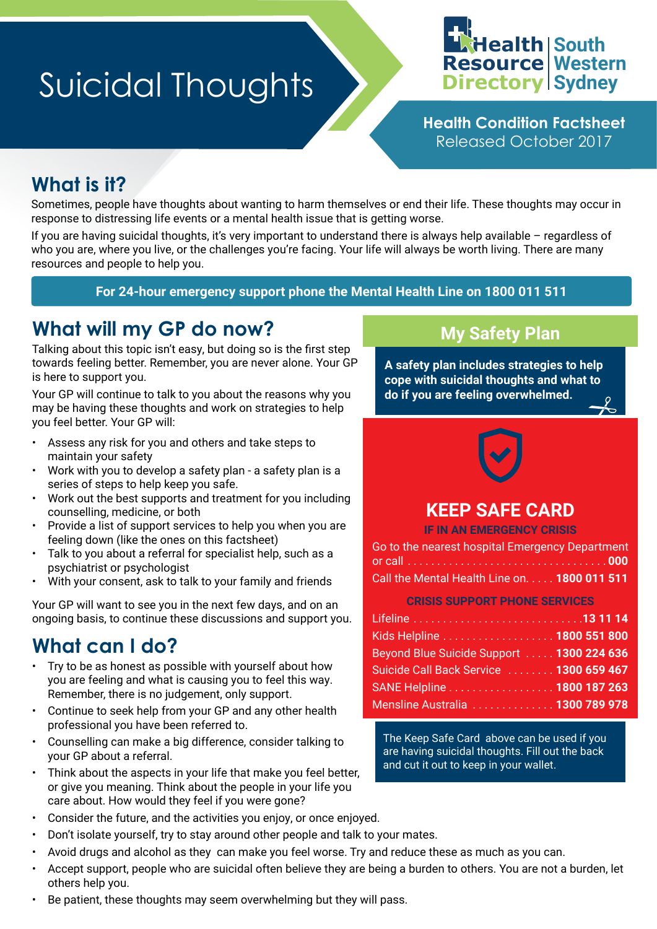# **Suicidal Thoughts**



**Health Condition Factsheet** Released October 2017

# **What is it?**

Sometimes, people have thoughts about wanting to harm themselves or end their life. These thoughts may occur in response to distressing life events or a mental health issue that is getting worse.

If you are having suicidal thoughts, it's very important to understand there is always help available – regardless of who you are, where you live, or the challenges you're facing. Your life will always be worth living. There are many resources and people to help you.

#### **For 24-hour emergency support phone the Mental Health Line on 1800 011 511**

## **What will my GP do now?**

Talking about this topic isn't easy, but doing so is the first step towards feeling better. Remember, you are never alone. Your GP is here to support you.

Your GP will continue to talk to you about the reasons why you may be having these thoughts and work on strategies to help you feel better. Your GP will:

- Assess any risk for you and others and take steps to maintain your safety
- Work with you to develop a safety plan a safety plan is a series of steps to help keep you safe.
- Work out the best supports and treatment for you including counselling, medicine, or both
- Provide a list of support services to help you when you are feeling down (like the ones on this factsheet)
- Talk to you about a referral for specialist help, such as a psychiatrist or psychologist
- With your consent, ask to talk to your family and friends

Your GP will want to see you in the next few days, and on an ongoing basis, to continue these discussions and support you.

# **What can I do?**

- Try to be as honest as possible with yourself about how you are feeling and what is causing you to feel this way. Remember, there is no judgement, only support.
- Continue to seek help from your GP and any other health professional you have been referred to.
- Counselling can make a big difference, consider talking to your GP about a referral.
- Think about the aspects in your life that make you feel better, or give you meaning. Think about the people in your life you care about. How would they feel if you were gone?
- Consider the future, and the activities you enjoy, or once enjoyed.
- Don't isolate yourself, try to stay around other people and talk to your mates.
- Avoid drugs and alcohol as they can make you feel worse. Try and reduce these as much as you can.
- Accept support, people who are suicidal often believe they are being a burden to others. You are not a burden, let others help you.
- Be patient, these thoughts may seem overwhelming but they will pass.

## **My Safety Plan**

**A safety plan includes strategies to help cope with suicidal thoughts and what to do if you are feeling overwhelmed.**



## **KEEP SAFE CARD**

**IF IN AN EMERGENCY CRISIS**

| Go to the nearest hospital Emergency Department |
|-------------------------------------------------|
|                                                 |
| Call the Mental Health Line on. 1800 011 511    |

**CRISIS SUPPORT PHONE SERVICES**

| Kids Helpline 1800 551 800                |  |
|-------------------------------------------|--|
| Beyond Blue Suicide Support  1300 224 636 |  |
| Suicide Call Back Service  1300 659 467   |  |
| SANE Helpline 1800 187 263                |  |
| Mensline Australia  1300 789 978          |  |

The Keep Safe Card above can be used if you are having suicidal thoughts. Fill out the back and cut it out to keep in your wallet.